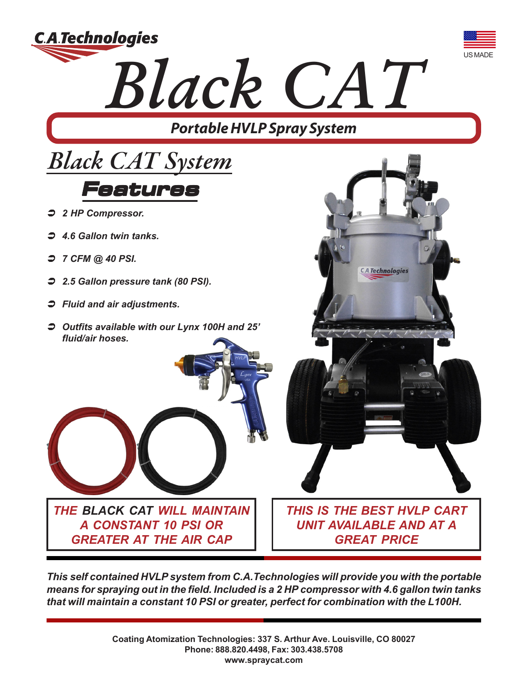

*This self contained HVLP system from C.A.Technologies will provide you with the portable means for spraying out in the field. Included is a 2 HP compressor with 4.6 gallon twin tanks that will maintain a constant 10 PSI or greater, perfect for combination with the L100H.*